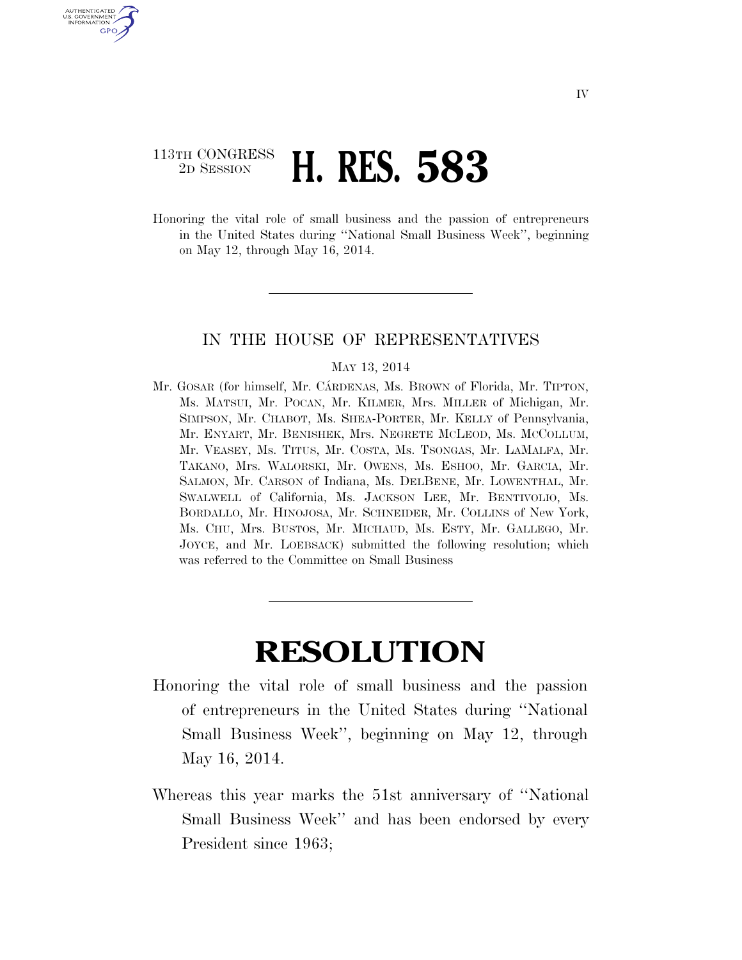## 113TH CONGRESS <sup>2D SESSION</sup> **H. RES. 583**

U.S. GOVERNMENT GPO

> Honoring the vital role of small business and the passion of entrepreneurs in the United States during ''National Small Business Week'', beginning on May 12, through May 16, 2014.

## IN THE HOUSE OF REPRESENTATIVES

## MAY 13, 2014

Mr. GOSAR (for himself, Mr. CÁRDENAS, Ms. BROWN of Florida, Mr. TIPTON, Ms. MATSUI, Mr. POCAN, Mr. KILMER, Mrs. MILLER of Michigan, Mr. SIMPSON, Mr. CHABOT, Ms. SHEA-PORTER, Mr. KELLY of Pennsylvania, Mr. ENYART, Mr. BENISHEK, Mrs. NEGRETE MCLEOD, Ms. MCCOLLUM, Mr. VEASEY, Ms. TITUS, Mr. COSTA, Ms. TSONGAS, Mr. LAMALFA, Mr. TAKANO, Mrs. WALORSKI, Mr. OWENS, Ms. ESHOO, Mr. GARCIA, Mr. SALMON, Mr. CARSON of Indiana, Ms. DELBENE, Mr. LOWENTHAL, Mr. SWALWELL of California, Ms. JACKSON LEE, Mr. BENTIVOLIO, Ms. BORDALLO, Mr. HINOJOSA, Mr. SCHNEIDER, Mr. COLLINS of New York, Ms. CHU, Mrs. BUSTOS, Mr. MICHAUD, Ms. ESTY, Mr. GALLEGO, Mr. JOYCE, and Mr. LOEBSACK) submitted the following resolution; which was referred to the Committee on Small Business

## **RESOLUTION**

- Honoring the vital role of small business and the passion of entrepreneurs in the United States during ''National Small Business Week'', beginning on May 12, through May 16, 2014.
- Whereas this year marks the 51st anniversary of ''National Small Business Week'' and has been endorsed by every President since 1963;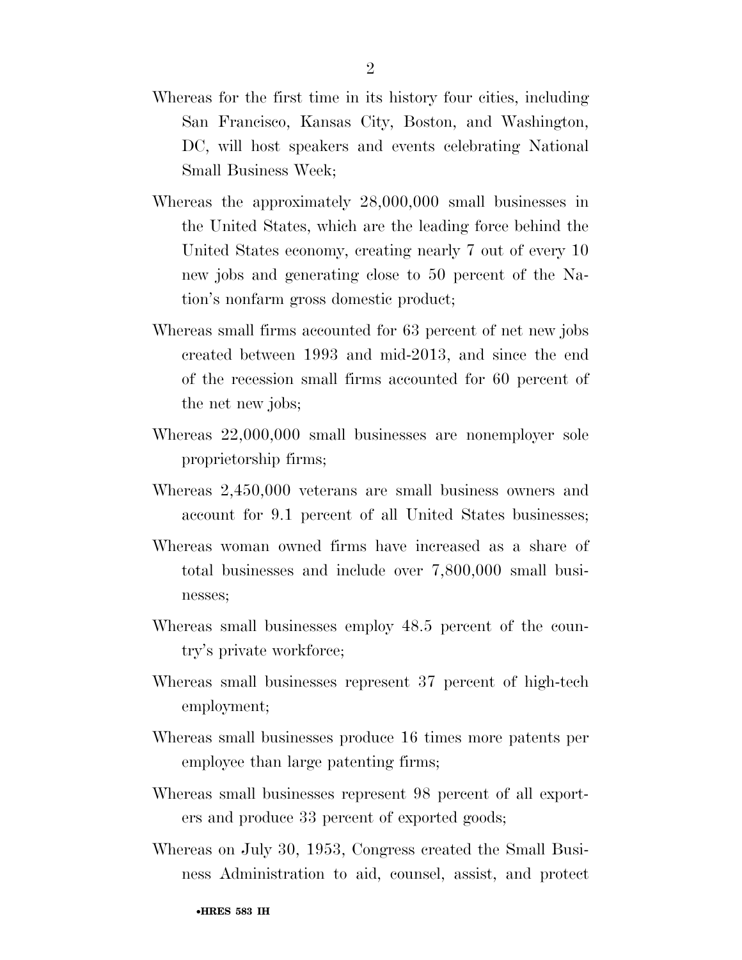- Whereas for the first time in its history four cities, including San Francisco, Kansas City, Boston, and Washington, DC, will host speakers and events celebrating National Small Business Week;
- Whereas the approximately 28,000,000 small businesses in the United States, which are the leading force behind the United States economy, creating nearly 7 out of every 10 new jobs and generating close to 50 percent of the Nation's nonfarm gross domestic product;
- Whereas small firms accounted for 63 percent of net new jobs created between 1993 and mid-2013, and since the end of the recession small firms accounted for 60 percent of the net new jobs;
- Whereas 22,000,000 small businesses are nonemployer sole proprietorship firms;
- Whereas 2,450,000 veterans are small business owners and account for 9.1 percent of all United States businesses;
- Whereas woman owned firms have increased as a share of total businesses and include over 7,800,000 small businesses;
- Whereas small businesses employ 48.5 percent of the country's private workforce;
- Whereas small businesses represent 37 percent of high-tech employment;
- Whereas small businesses produce 16 times more patents per employee than large patenting firms;
- Whereas small businesses represent 98 percent of all exporters and produce 33 percent of exported goods;
- Whereas on July 30, 1953, Congress created the Small Business Administration to aid, counsel, assist, and protect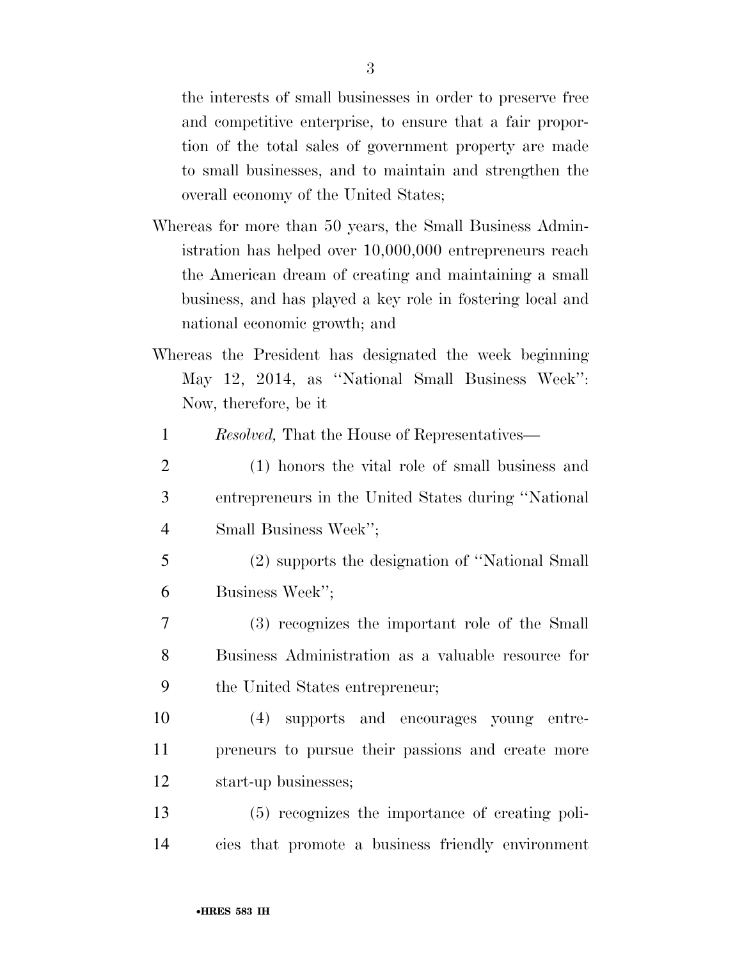the interests of small businesses in order to preserve free and competitive enterprise, to ensure that a fair proportion of the total sales of government property are made to small businesses, and to maintain and strengthen the overall economy of the United States;

- Whereas for more than 50 years, the Small Business Administration has helped over 10,000,000 entrepreneurs reach the American dream of creating and maintaining a small business, and has played a key role in fostering local and national economic growth; and
- Whereas the President has designated the week beginning May 12, 2014, as ''National Small Business Week'': Now, therefore, be it
	- 1 *Resolved,* That the House of Representatives—
- 2 (1) honors the vital role of small business and 3 entrepreneurs in the United States during ''National 4 Small Business Week'';
- 5 (2) supports the designation of ''National Small 6 Business Week'';
- 7 (3) recognizes the important role of the Small 8 Business Administration as a valuable resource for 9 the United States entrepreneur;
- 10 (4) supports and encourages young entre-11 preneurs to pursue their passions and create more 12 start-up businesses;
- 13 (5) recognizes the importance of creating poli-14 cies that promote a business friendly environment